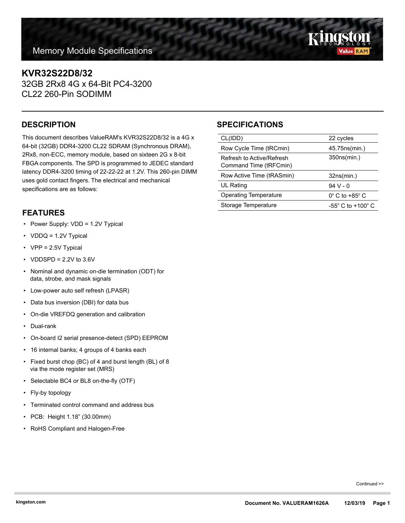# **KVR32S22D8/32**

32GB 2Rx8 4G x 64-Bit PC4-3200 CL22 260-Pin SODIMM

This document describes ValueRAM's KVR32S22D8/32 is a 4G x 64-bit (32GB) DDR4-3200 CL22 SDRAM (Synchronous DRAM), 2Rx8, non-ECC, memory module, based on sixteen 2G x 8-bit FBGA components. The SPD is programmed to JEDEC standard latency DDR4-3200 timing of 22-22-22 at 1.2V. This 260-pin DIMM uses gold contact fingers. The electrical and mechanical specifications are as follows:

### **FEATURES**

- Power Supply: VDD = 1.2V Typical
- VDDQ = 1.2V Typical
- VPP = 2.5V Typical
- VDDSPD =  $2.2V$  to  $3.6V$
- Nominal and dynamic on-die termination (ODT) for data, strobe, and mask signals
- Low-power auto self refresh (LPASR)
- Data bus inversion (DBI) for data bus
- On-die VREFDQ generation and calibration
- Dual-rank
- On-board I2 serial presence-detect (SPD) EEPROM
- 16 internal banks; 4 groups of 4 banks each
- Fixed burst chop (BC) of 4 and burst length (BL) of 8 via the mode register set (MRS)
- Selectable BC4 or BL8 on-the-fly (OTF)
- Fly-by topology
- Terminated control command and address bus
- PCB: Height 1.18" (30.00mm)
- RoHS Compliant and Halogen-Free

## **DESCRIPTION SPECIFICATIONS**

| CL(IDD)                                             | 22 cycles                     |
|-----------------------------------------------------|-------------------------------|
| Row Cycle Time (tRCmin)                             | 45.75 ns (min.)               |
| Refresh to Active/Refresh<br>Command Time (tRFCmin) | 350ns(min.)                   |
|                                                     |                               |
| Row Active Time (tRASmin)                           | 32ns(min.)                    |
| UL Rating                                           | $94V - 0$                     |
| <b>Operating Temperature</b>                        | $0^\circ$ C to +85 $^\circ$ C |

Continued >>